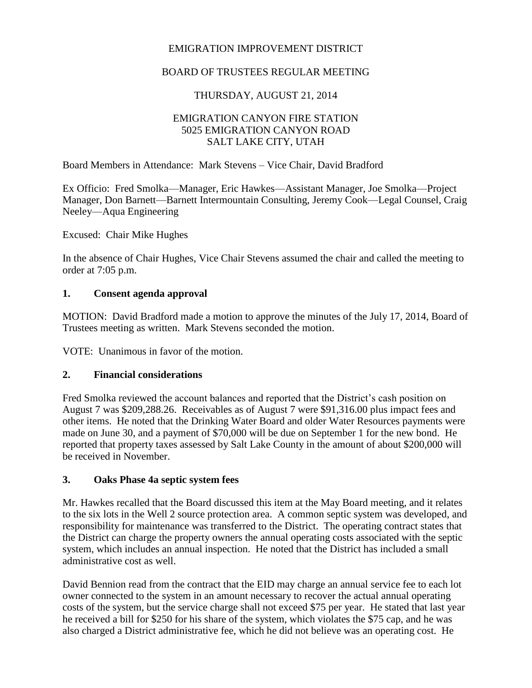### EMIGRATION IMPROVEMENT DISTRICT

### BOARD OF TRUSTEES REGULAR MEETING

# THURSDAY, AUGUST 21, 2014

#### EMIGRATION CANYON FIRE STATION 5025 EMIGRATION CANYON ROAD SALT LAKE CITY, UTAH

Board Members in Attendance: Mark Stevens – Vice Chair, David Bradford

Ex Officio: Fred Smolka—Manager, Eric Hawkes—Assistant Manager, Joe Smolka—Project Manager, Don Barnett—Barnett Intermountain Consulting, Jeremy Cook—Legal Counsel, Craig Neeley—Aqua Engineering

Excused: Chair Mike Hughes

In the absence of Chair Hughes, Vice Chair Stevens assumed the chair and called the meeting to order at 7:05 p.m.

#### **1. Consent agenda approval**

MOTION: David Bradford made a motion to approve the minutes of the July 17, 2014, Board of Trustees meeting as written. Mark Stevens seconded the motion.

VOTE: Unanimous in favor of the motion.

#### **2. Financial considerations**

Fred Smolka reviewed the account balances and reported that the District's cash position on August 7 was \$209,288.26. Receivables as of August 7 were \$91,316.00 plus impact fees and other items. He noted that the Drinking Water Board and older Water Resources payments were made on June 30, and a payment of \$70,000 will be due on September 1 for the new bond. He reported that property taxes assessed by Salt Lake County in the amount of about \$200,000 will be received in November.

#### **3. Oaks Phase 4a septic system fees**

Mr. Hawkes recalled that the Board discussed this item at the May Board meeting, and it relates to the six lots in the Well 2 source protection area. A common septic system was developed, and responsibility for maintenance was transferred to the District. The operating contract states that the District can charge the property owners the annual operating costs associated with the septic system, which includes an annual inspection. He noted that the District has included a small administrative cost as well.

David Bennion read from the contract that the EID may charge an annual service fee to each lot owner connected to the system in an amount necessary to recover the actual annual operating costs of the system, but the service charge shall not exceed \$75 per year. He stated that last year he received a bill for \$250 for his share of the system, which violates the \$75 cap, and he was also charged a District administrative fee, which he did not believe was an operating cost. He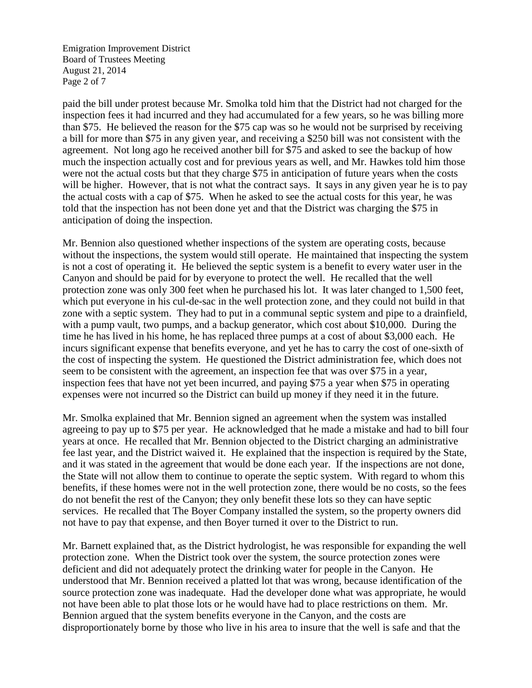Emigration Improvement District Board of Trustees Meeting August 21, 2014 Page 2 of 7

paid the bill under protest because Mr. Smolka told him that the District had not charged for the inspection fees it had incurred and they had accumulated for a few years, so he was billing more than \$75. He believed the reason for the \$75 cap was so he would not be surprised by receiving a bill for more than \$75 in any given year, and receiving a \$250 bill was not consistent with the agreement. Not long ago he received another bill for \$75 and asked to see the backup of how much the inspection actually cost and for previous years as well, and Mr. Hawkes told him those were not the actual costs but that they charge \$75 in anticipation of future years when the costs will be higher. However, that is not what the contract says. It says in any given year he is to pay the actual costs with a cap of \$75. When he asked to see the actual costs for this year, he was told that the inspection has not been done yet and that the District was charging the \$75 in anticipation of doing the inspection.

Mr. Bennion also questioned whether inspections of the system are operating costs, because without the inspections, the system would still operate. He maintained that inspecting the system is not a cost of operating it. He believed the septic system is a benefit to every water user in the Canyon and should be paid for by everyone to protect the well. He recalled that the well protection zone was only 300 feet when he purchased his lot. It was later changed to 1,500 feet, which put everyone in his cul-de-sac in the well protection zone, and they could not build in that zone with a septic system. They had to put in a communal septic system and pipe to a drainfield, with a pump vault, two pumps, and a backup generator, which cost about \$10,000. During the time he has lived in his home, he has replaced three pumps at a cost of about \$3,000 each. He incurs significant expense that benefits everyone, and yet he has to carry the cost of one-sixth of the cost of inspecting the system. He questioned the District administration fee, which does not seem to be consistent with the agreement, an inspection fee that was over \$75 in a year, inspection fees that have not yet been incurred, and paying \$75 a year when \$75 in operating expenses were not incurred so the District can build up money if they need it in the future.

Mr. Smolka explained that Mr. Bennion signed an agreement when the system was installed agreeing to pay up to \$75 per year. He acknowledged that he made a mistake and had to bill four years at once. He recalled that Mr. Bennion objected to the District charging an administrative fee last year, and the District waived it. He explained that the inspection is required by the State, and it was stated in the agreement that would be done each year. If the inspections are not done, the State will not allow them to continue to operate the septic system. With regard to whom this benefits, if these homes were not in the well protection zone, there would be no costs, so the fees do not benefit the rest of the Canyon; they only benefit these lots so they can have septic services. He recalled that The Boyer Company installed the system, so the property owners did not have to pay that expense, and then Boyer turned it over to the District to run.

Mr. Barnett explained that, as the District hydrologist, he was responsible for expanding the well protection zone. When the District took over the system, the source protection zones were deficient and did not adequately protect the drinking water for people in the Canyon. He understood that Mr. Bennion received a platted lot that was wrong, because identification of the source protection zone was inadequate. Had the developer done what was appropriate, he would not have been able to plat those lots or he would have had to place restrictions on them. Mr. Bennion argued that the system benefits everyone in the Canyon, and the costs are disproportionately borne by those who live in his area to insure that the well is safe and that the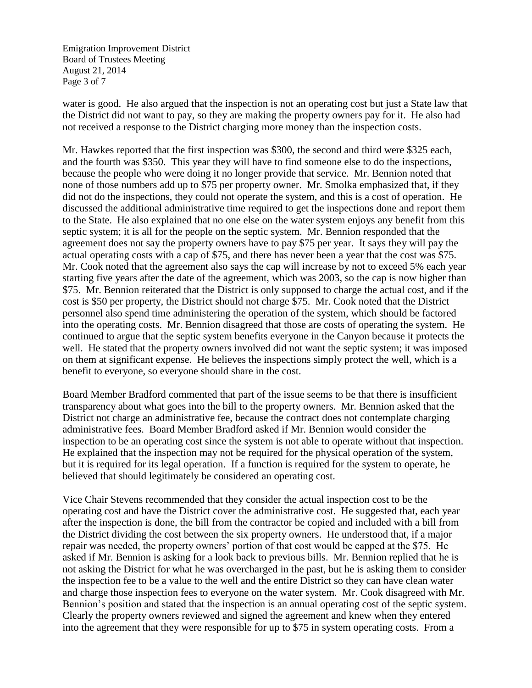Emigration Improvement District Board of Trustees Meeting August 21, 2014 Page 3 of 7

water is good. He also argued that the inspection is not an operating cost but just a State law that the District did not want to pay, so they are making the property owners pay for it. He also had not received a response to the District charging more money than the inspection costs.

Mr. Hawkes reported that the first inspection was \$300, the second and third were \$325 each, and the fourth was \$350. This year they will have to find someone else to do the inspections, because the people who were doing it no longer provide that service. Mr. Bennion noted that none of those numbers add up to \$75 per property owner. Mr. Smolka emphasized that, if they did not do the inspections, they could not operate the system, and this is a cost of operation. He discussed the additional administrative time required to get the inspections done and report them to the State. He also explained that no one else on the water system enjoys any benefit from this septic system; it is all for the people on the septic system. Mr. Bennion responded that the agreement does not say the property owners have to pay \$75 per year. It says they will pay the actual operating costs with a cap of \$75, and there has never been a year that the cost was \$75. Mr. Cook noted that the agreement also says the cap will increase by not to exceed 5% each year starting five years after the date of the agreement, which was 2003, so the cap is now higher than \$75. Mr. Bennion reiterated that the District is only supposed to charge the actual cost, and if the cost is \$50 per property, the District should not charge \$75. Mr. Cook noted that the District personnel also spend time administering the operation of the system, which should be factored into the operating costs. Mr. Bennion disagreed that those are costs of operating the system. He continued to argue that the septic system benefits everyone in the Canyon because it protects the well. He stated that the property owners involved did not want the septic system; it was imposed on them at significant expense. He believes the inspections simply protect the well, which is a benefit to everyone, so everyone should share in the cost.

Board Member Bradford commented that part of the issue seems to be that there is insufficient transparency about what goes into the bill to the property owners. Mr. Bennion asked that the District not charge an administrative fee, because the contract does not contemplate charging administrative fees. Board Member Bradford asked if Mr. Bennion would consider the inspection to be an operating cost since the system is not able to operate without that inspection. He explained that the inspection may not be required for the physical operation of the system, but it is required for its legal operation. If a function is required for the system to operate, he believed that should legitimately be considered an operating cost.

Vice Chair Stevens recommended that they consider the actual inspection cost to be the operating cost and have the District cover the administrative cost. He suggested that, each year after the inspection is done, the bill from the contractor be copied and included with a bill from the District dividing the cost between the six property owners. He understood that, if a major repair was needed, the property owners' portion of that cost would be capped at the \$75. He asked if Mr. Bennion is asking for a look back to previous bills. Mr. Bennion replied that he is not asking the District for what he was overcharged in the past, but he is asking them to consider the inspection fee to be a value to the well and the entire District so they can have clean water and charge those inspection fees to everyone on the water system. Mr. Cook disagreed with Mr. Bennion's position and stated that the inspection is an annual operating cost of the septic system. Clearly the property owners reviewed and signed the agreement and knew when they entered into the agreement that they were responsible for up to \$75 in system operating costs. From a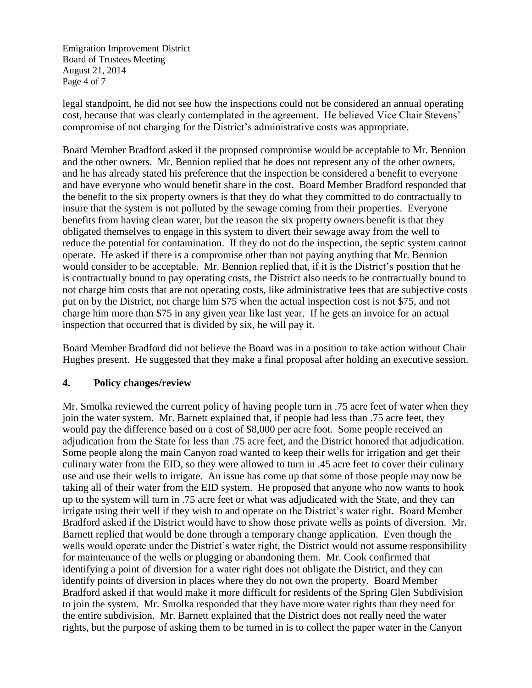Emigration Improvement District Board of Trustees Meeting August 21, 2014 Page 4 of 7

legal standpoint, he did not see how the inspections could not be considered an annual operating cost, because that was clearly contemplated in the agreement. He believed Vice Chair Stevens' compromise of not charging for the District's administrative costs was appropriate.

Board Member Bradford asked if the proposed compromise would be acceptable to Mr. Bennion and the other owners. Mr. Bennion replied that he does not represent any of the other owners, and he has already stated his preference that the inspection be considered a benefit to everyone and have everyone who would benefit share in the cost. Board Member Bradford responded that the benefit to the six property owners is that they do what they committed to do contractually to insure that the system is not polluted by the sewage coming from their properties. Everyone benefits from having clean water, but the reason the six property owners benefit is that they obligated themselves to engage in this system to divert their sewage away from the well to reduce the potential for contamination. If they do not do the inspection, the septic system cannot operate. He asked if there is a compromise other than not paying anything that Mr. Bennion would consider to be acceptable. Mr. Bennion replied that, if it is the District's position that he is contractually bound to pay operating costs, the District also needs to be contractually bound to not charge him costs that are not operating costs, like administrative fees that are subjective costs put on by the District, not charge him \$75 when the actual inspection cost is not \$75, and not charge him more than \$75 in any given year like last year. If he gets an invoice for an actual inspection that occurred that is divided by six, he will pay it.

Board Member Bradford did not believe the Board was in a position to take action without Chair Hughes present. He suggested that they make a final proposal after holding an executive session.

#### **4. Policy changes/review**

Mr. Smolka reviewed the current policy of having people turn in .75 acre feet of water when they join the water system. Mr. Barnett explained that, if people had less than .75 acre feet, they would pay the difference based on a cost of \$8,000 per acre foot. Some people received an adjudication from the State for less than .75 acre feet, and the District honored that adjudication. Some people along the main Canyon road wanted to keep their wells for irrigation and get their culinary water from the EID, so they were allowed to turn in .45 acre feet to cover their culinary use and use their wells to irrigate. An issue has come up that some of those people may now be taking all of their water from the EID system. He proposed that anyone who now wants to hook up to the system will turn in .75 acre feet or what was adjudicated with the State, and they can irrigate using their well if they wish to and operate on the District's water right. Board Member Bradford asked if the District would have to show those private wells as points of diversion. Mr. Barnett replied that would be done through a temporary change application. Even though the wells would operate under the District's water right, the District would not assume responsibility for maintenance of the wells or plugging or abandoning them. Mr. Cook confirmed that identifying a point of diversion for a water right does not obligate the District, and they can identify points of diversion in places where they do not own the property. Board Member Bradford asked if that would make it more difficult for residents of the Spring Glen Subdivision to join the system. Mr. Smolka responded that they have more water rights than they need for the entire subdivision. Mr. Barnett explained that the District does not really need the water rights, but the purpose of asking them to be turned in is to collect the paper water in the Canyon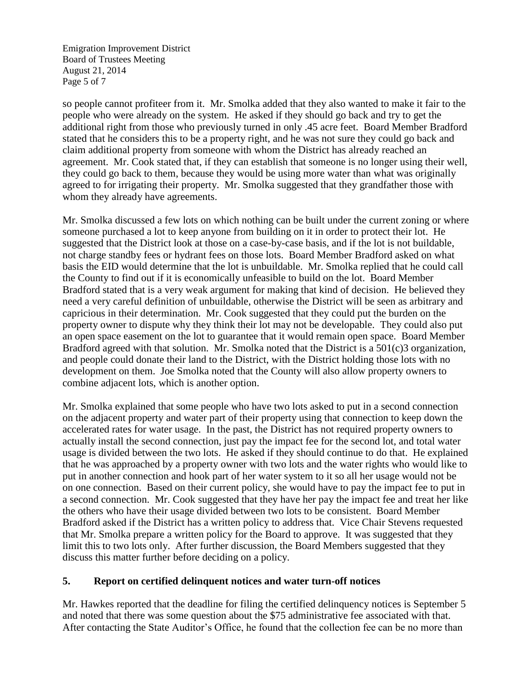Emigration Improvement District Board of Trustees Meeting August 21, 2014 Page 5 of 7

so people cannot profiteer from it. Mr. Smolka added that they also wanted to make it fair to the people who were already on the system. He asked if they should go back and try to get the additional right from those who previously turned in only .45 acre feet. Board Member Bradford stated that he considers this to be a property right, and he was not sure they could go back and claim additional property from someone with whom the District has already reached an agreement. Mr. Cook stated that, if they can establish that someone is no longer using their well, they could go back to them, because they would be using more water than what was originally agreed to for irrigating their property. Mr. Smolka suggested that they grandfather those with whom they already have agreements.

Mr. Smolka discussed a few lots on which nothing can be built under the current zoning or where someone purchased a lot to keep anyone from building on it in order to protect their lot. He suggested that the District look at those on a case-by-case basis, and if the lot is not buildable, not charge standby fees or hydrant fees on those lots. Board Member Bradford asked on what basis the EID would determine that the lot is unbuildable. Mr. Smolka replied that he could call the County to find out if it is economically unfeasible to build on the lot. Board Member Bradford stated that is a very weak argument for making that kind of decision. He believed they need a very careful definition of unbuildable, otherwise the District will be seen as arbitrary and capricious in their determination. Mr. Cook suggested that they could put the burden on the property owner to dispute why they think their lot may not be developable. They could also put an open space easement on the lot to guarantee that it would remain open space. Board Member Bradford agreed with that solution. Mr. Smolka noted that the District is a 501(c)3 organization, and people could donate their land to the District, with the District holding those lots with no development on them. Joe Smolka noted that the County will also allow property owners to combine adjacent lots, which is another option.

Mr. Smolka explained that some people who have two lots asked to put in a second connection on the adjacent property and water part of their property using that connection to keep down the accelerated rates for water usage. In the past, the District has not required property owners to actually install the second connection, just pay the impact fee for the second lot, and total water usage is divided between the two lots. He asked if they should continue to do that. He explained that he was approached by a property owner with two lots and the water rights who would like to put in another connection and hook part of her water system to it so all her usage would not be on one connection. Based on their current policy, she would have to pay the impact fee to put in a second connection. Mr. Cook suggested that they have her pay the impact fee and treat her like the others who have their usage divided between two lots to be consistent. Board Member Bradford asked if the District has a written policy to address that. Vice Chair Stevens requested that Mr. Smolka prepare a written policy for the Board to approve. It was suggested that they limit this to two lots only. After further discussion, the Board Members suggested that they discuss this matter further before deciding on a policy.

# **5. Report on certified delinquent notices and water turn-off notices**

Mr. Hawkes reported that the deadline for filing the certified delinquency notices is September 5 and noted that there was some question about the \$75 administrative fee associated with that. After contacting the State Auditor's Office, he found that the collection fee can be no more than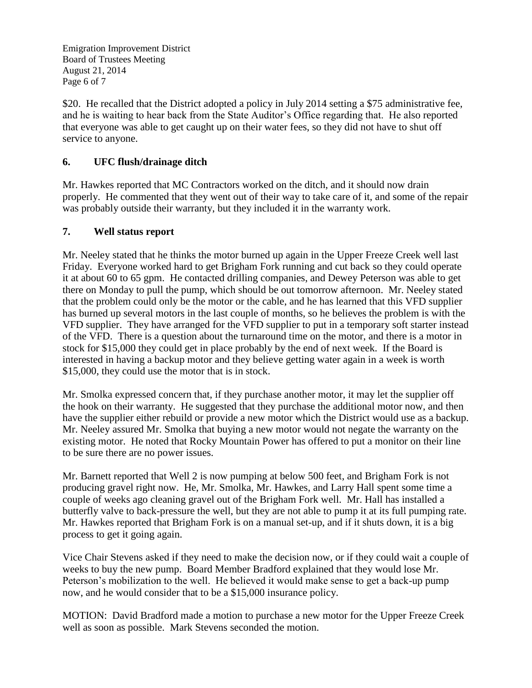Emigration Improvement District Board of Trustees Meeting August 21, 2014 Page 6 of 7

\$20. He recalled that the District adopted a policy in July 2014 setting a \$75 administrative fee, and he is waiting to hear back from the State Auditor's Office regarding that. He also reported that everyone was able to get caught up on their water fees, so they did not have to shut off service to anyone.

# **6. UFC flush/drainage ditch**

Mr. Hawkes reported that MC Contractors worked on the ditch, and it should now drain properly. He commented that they went out of their way to take care of it, and some of the repair was probably outside their warranty, but they included it in the warranty work.

# **7. Well status report**

Mr. Neeley stated that he thinks the motor burned up again in the Upper Freeze Creek well last Friday. Everyone worked hard to get Brigham Fork running and cut back so they could operate it at about 60 to 65 gpm. He contacted drilling companies, and Dewey Peterson was able to get there on Monday to pull the pump, which should be out tomorrow afternoon. Mr. Neeley stated that the problem could only be the motor or the cable, and he has learned that this VFD supplier has burned up several motors in the last couple of months, so he believes the problem is with the VFD supplier. They have arranged for the VFD supplier to put in a temporary soft starter instead of the VFD. There is a question about the turnaround time on the motor, and there is a motor in stock for \$15,000 they could get in place probably by the end of next week. If the Board is interested in having a backup motor and they believe getting water again in a week is worth \$15,000, they could use the motor that is in stock.

Mr. Smolka expressed concern that, if they purchase another motor, it may let the supplier off the hook on their warranty. He suggested that they purchase the additional motor now, and then have the supplier either rebuild or provide a new motor which the District would use as a backup. Mr. Neeley assured Mr. Smolka that buying a new motor would not negate the warranty on the existing motor. He noted that Rocky Mountain Power has offered to put a monitor on their line to be sure there are no power issues.

Mr. Barnett reported that Well 2 is now pumping at below 500 feet, and Brigham Fork is not producing gravel right now. He, Mr. Smolka, Mr. Hawkes, and Larry Hall spent some time a couple of weeks ago cleaning gravel out of the Brigham Fork well. Mr. Hall has installed a butterfly valve to back-pressure the well, but they are not able to pump it at its full pumping rate. Mr. Hawkes reported that Brigham Fork is on a manual set-up, and if it shuts down, it is a big process to get it going again.

Vice Chair Stevens asked if they need to make the decision now, or if they could wait a couple of weeks to buy the new pump. Board Member Bradford explained that they would lose Mr. Peterson's mobilization to the well. He believed it would make sense to get a back-up pump now, and he would consider that to be a \$15,000 insurance policy.

MOTION: David Bradford made a motion to purchase a new motor for the Upper Freeze Creek well as soon as possible. Mark Stevens seconded the motion.